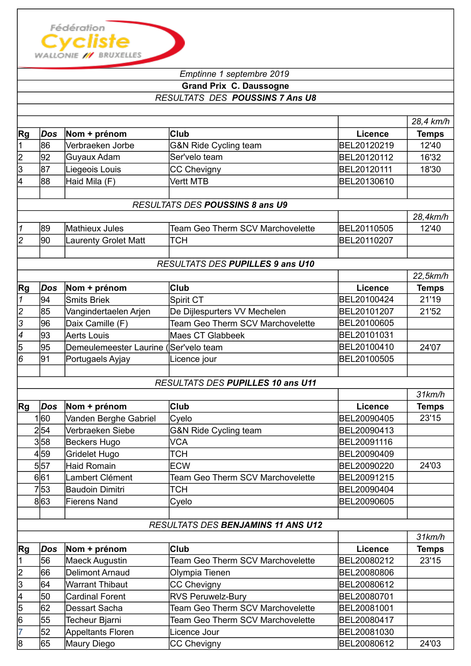

## *Emptinne 1 septembre 2019*  **Grand Prix C. Daussogne** *RESULTATS DES POUSSINS 7 Ans U8*

|                 |      |                                       |                                           |                | 28,4 km/h    |
|-----------------|------|---------------------------------------|-------------------------------------------|----------------|--------------|
| Rg              | Dos  | Nom + prénom                          | <b>Club</b>                               | Licence        | <b>Temps</b> |
| 1               | 86   | Verbraeken Jorbe                      | G&N Ride Cycling team                     | BEL20120219    | 12'40        |
| $\overline{2}$  | 92   | Guyaux Adam                           | Ser'velo team                             | BEL20120112    | 16'32        |
| 3               | 87   | Liegeois Louis                        | <b>CC Chevigny</b>                        | BEL20120111    | 18'30        |
| 4               | 88   | Haid Mila (F)                         | <b>Vertt MTB</b>                          | BEL20130610    |              |
|                 |      |                                       |                                           |                |              |
|                 |      |                                       | RESULTATS DES POUSSINS 8 ans U9           |                |              |
|                 |      |                                       |                                           |                | 28,4km/h     |
| 1               | 89   | Mathieux Jules                        | <b>Team Geo Therm SCV Marchovelette</b>   | BEL20110505    | 12'40        |
| $\overline{c}$  | 90   | Laurenty Grolet Matt                  | <b>TCH</b>                                | BEL20110207    |              |
|                 |      |                                       |                                           |                |              |
|                 |      |                                       | RESULTATS DES PUPILLES 9 ans U10          |                |              |
|                 |      |                                       |                                           |                | 22,5km/h     |
| Rg              | Dos  | Nom + prénom                          | <b>Club</b>                               | Licence        | <b>Temps</b> |
| 1               | 94   | <b>Smits Briek</b>                    | Spirit CT                                 | BEL20100424    | 21'19        |
| $\overline{c}$  | 85   | Vangindertaelen Arjen                 | De Dijlespurters VV Mechelen              | BEL20101207    | 21'52        |
| 3               | 96   | Daix Camille (F)                      | <b>Team Geo Therm SCV Marchovelette</b>   | BEL20100605    |              |
| 4               | 93   | <b>Aerts Louis</b>                    | <b>Maes CT Glabbeek</b>                   | BEL20101031    |              |
| 5               | 95   | Demeulemeester Laurine (Ser'velo team |                                           | BEL20100410    | 24'07        |
| $6\overline{6}$ | 91   | Portugaels Ayjay                      | Licence jour                              | BEL20100505    |              |
|                 |      |                                       |                                           |                |              |
|                 |      |                                       | RESULTATS DES PUPILLES 10 ans U11         |                |              |
|                 |      |                                       |                                           |                | $31$ km/h    |
| Rg              | Dos  | Nom + prénom                          | <b>Club</b>                               | Licence        | <b>Temps</b> |
|                 | 1 60 | Vanden Berghe Gabriel                 | Cyelo                                     | BEL20090405    | 23'15        |
|                 | 2 54 | Verbraeken Siebe                      | G&N Ride Cycling team                     | BEL20090413    |              |
|                 | 3 58 | Beckers Hugo                          | <b>VCA</b>                                | BEL20091116    |              |
|                 | 4 59 | Gridelet Hugo                         | <b>TCH</b>                                | BEL20090409    |              |
|                 | 5 57 | Haid Romain                           | <b>ECW</b>                                | BEL20090220    | 24'03        |
|                 | 6 61 | Lambert Clément                       | <b>Team Geo Therm SCV Marchovelette</b>   | BEL20091215    |              |
|                 | 753  | Baudoin Dimitri                       | <b>TCH</b>                                | BEL20090404    |              |
|                 | 863  | <b>Fierens Nand</b>                   | Cyelo                                     | BEL20090605    |              |
|                 |      |                                       |                                           |                |              |
|                 |      |                                       | <b>RESULTATS DES BENJAMINS 11 ANS U12</b> |                |              |
|                 |      |                                       |                                           |                | $31$ km/h    |
| Rg              | Dos  | Nom + prénom                          | <b>Club</b>                               | <b>Licence</b> | <b>Temps</b> |
| $\vert$ 1       | 56   | Maeck Augustin                        | Team Geo Therm SCV Marchovelette          | BEL20080212    | 23'15        |
| $\overline{c}$  | 66   | <b>Delimont Arnaud</b>                | Olympia Tienen                            | BEL20080806    |              |
| $\overline{3}$  | 64   | <b>Warrant Thibaut</b>                | CC Chevigny                               | BEL20080612    |              |
| 4               | 50   | <b>Cardinal Forent</b>                | <b>RVS Peruwelz-Bury</b>                  | BEL20080701    |              |
| 5               | 62   | <b>Dessart Sacha</b>                  | Team Geo Therm SCV Marchovelette          | BEL20081001    |              |
| 6               | 55   | Techeur Bjarni                        | <b>Team Geo Therm SCV Marchovelette</b>   | BEL20080417    |              |
| $\overline{7}$  |      |                                       |                                           |                |              |
|                 | 52   | <b>Appeltants Floren</b>              | Licence Jour                              | BEL20081030    |              |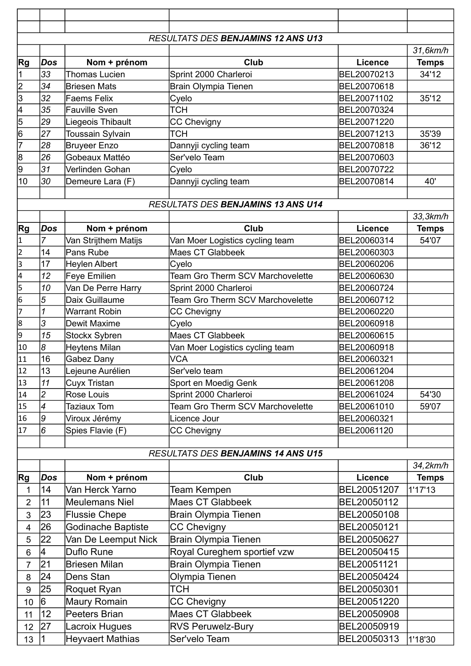|                |                 |                         | <b>RESULTATS DES BENJAMINS 12 ANS U13</b> |                |              |
|----------------|-----------------|-------------------------|-------------------------------------------|----------------|--------------|
|                |                 |                         |                                           |                | 31,6km/h     |
| Rg             | Dos             | Nom + prénom            | Club                                      | <b>Licence</b> | <b>Temps</b> |
|                | 33              | <b>Thomas Lucien</b>    | Sprint 2000 Charleroi                     | BEL20070213    | 34'12        |
| $\overline{2}$ | 34              | <b>Briesen Mats</b>     | Brain Olympia Tienen                      | BEL20070618    |              |
| 3              | 32              | <b>Faems Felix</b>      | Cyelo                                     | BEL20071102    | 35'12        |
| 4              | 35              | <b>Fauville Sven</b>    | <b>TCH</b>                                | BEL20070324    |              |
| 5              | 29              | Liegeois Thibault       | <b>CC Chevigny</b>                        | BEL20071220    |              |
| 6              | 27              | Toussain Sylvain        | TCH                                       | BEL20071213    | 35'39        |
| 17             | 28              | <b>Bruyeer Enzo</b>     | Dannyji cycling team                      | BEL20070818    | 36'12        |
| 8              | 26              | Gobeaux Mattéo          | Ser'velo Team                             | BEL20070603    |              |
| g              | 31              | Verlinden Gohan         | Cyelo                                     | BEL20070722    |              |
| 10             | 30              | Demeure Lara (F)        | Dannyji cycling team                      | BEL20070814    | 40'          |
|                |                 |                         |                                           |                |              |
|                |                 |                         | <b>RESULTATS DES BENJAMINS 13 ANS U14</b> |                |              |
|                |                 |                         |                                           |                | 33,3km/h     |
| Rg             | Dos             | Nom + prénom            | Club                                      | <b>Licence</b> | <b>Temps</b> |
| 1              | 7               | Van Strijthem Matijs    | Van Moer Logistics cycling team           | BEL20060314    | 54'07        |
| $\overline{2}$ | 14              | Pans Rube               | <b>Maes CT Glabbeek</b>                   | BEL20060303    |              |
| 3              | 17              | <b>Heylen Albert</b>    | Cyelo                                     | BEL20060206    |              |
| 4              | 12              | <b>Feye Emilien</b>     | <b>Team Gro Therm SCV Marchovelette</b>   | BEL20060630    |              |
| 5              | 10              | Van De Perre Harry      | Sprint 2000 Charleroi                     | BEL20060724    |              |
| 6              | 5               | Daix Guillaume          | Team Gro Therm SCV Marchovelette          | BEL20060712    |              |
| 17             | 1               | <b>Warrant Robin</b>    | <b>CC Chevigny</b>                        | BEL20060220    |              |
| 8              | 3               | Dewit Maxime            | Cyelo                                     | BEL20060918    |              |
| 9              | 15              | <b>Stockx Sybren</b>    | <b>Maes CT Glabbeek</b>                   | BEL20060615    |              |
| 10             | 8               | <b>Heytens Milan</b>    | Van Moer Logistics cycling team           | BEL20060918    |              |
| 11             | 16              | Gabez Dany              | <b>VCA</b>                                | BEL20060321    |              |
| 12             | 13              | Lejeune Aurélien        | Ser'velo team                             | BEL20061204    |              |
| 13             | 11              | <b>Cuyx Tristan</b>     | Sport en Moedig Genk                      | BEL20061208    |              |
| 14             | $\overline{c}$  | Rose Louis              | Sprint 2000 Charleroi                     | BEL20061024    | 54'30        |
| 15             | 4               | <b>Taziaux Tom</b>      | <b>Team Gro Therm SCV Marchovelette</b>   | BEL20061010    | 59'07        |
| 16             | 9               | Viroux Jérémy           | Licence Jour                              | BEL20060321    |              |
| 17             | 6               | Spies Flavie (F)        | <b>CC Chevigny</b>                        | BEL20061120    |              |
|                |                 |                         |                                           |                |              |
|                |                 |                         | RESULTATS DES BENJAMINS 14 ANS U15        |                |              |
|                |                 |                         |                                           |                | 34,2km/h     |
| Rg             | Dos             | Nom + prénom            | Club                                      | <b>Licence</b> | <b>Temps</b> |
| 1              | 14              | Van Herck Yarno         | <b>Team Kempen</b>                        | BEL20051207    | 1'17'13      |
| 2              | 11              | <b>Meulemans Niel</b>   | <b>Maes CT Glabbeek</b>                   | BEL20050112    |              |
| 3              | 23              | <b>Flussie Chepe</b>    | <b>Brain Olympia Tienen</b>               | BEL20050108    |              |
| 4              | 26              | Godinache Baptiste      | <b>CC Chevigny</b>                        | BEL20050121    |              |
| 5              | 22              | Van De Leemput Nick     | <b>Brain Olympia Tienen</b>               | BEL20050627    |              |
| 6              | 4               | Duflo Rune              | Royal Cureghem sportief vzw               | BEL20050415    |              |
| 7              | $\overline{21}$ | <b>Briesen Milan</b>    | <b>Brain Olympia Tienen</b>               | BEL20051121    |              |
| 8              | 24              | Dens Stan               | Olympia Tienen                            | BEL20050424    |              |
| 9              | 25              | <b>Roquet Ryan</b>      | TCH                                       | BEL20050301    |              |
| 10             | 16              | <b>Maury Romain</b>     | <b>CC Chevigny</b>                        | BEL20051220    |              |
| 11             | 12              | Peeters Brian           | <b>Maes CT Glabbeek</b>                   | BEL20050908    |              |
| 12             | 27              | Lacroix Hugues          | <b>RVS Peruwelz-Bury</b>                  | BEL20050919    |              |
|                |                 |                         |                                           |                |              |
| 13             | 1               | <b>Heyvaert Mathias</b> | Ser'velo Team                             | BEL20050313    | 1'18'30      |